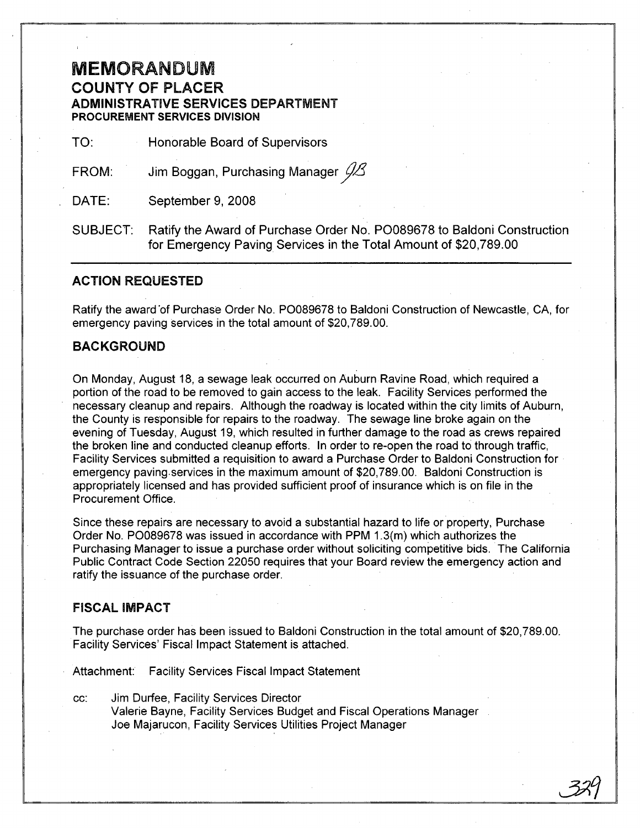## MEMORANDUM COUNTY OF PLACER ADMINISTRATIVE SERVICES DEPARTMENT PROCUREMENT SERVICES DIVISION

TO: Honorable Board of Supervisors

FROM: Jim Boggan, Purchasing Manager *jlJ3*

DATE: September 9, 2008

SUBJECT: Ratify the Award of Purchase Order No. P0089678 to Baldoni Construction for Emergency Paving Services in the Total Amount of \$20,789.00

### ACTION REQUESTED

Ratify the award 'of Purchase Order No. P0089678 to Baldoni Construction of Newcastle, CA, for emergency paving services in the total amount of \$20,789.00.

### BACKGROUND

On Monday, August 18, a sewage leak occurred on Auburn Ravine Road, which required a portion of the road to be removed to gain access to the leak. Facility Services performed the necessary cleanup and repairs. Although the roadway is located within the city limits of Auburn, the County is responsible for repairs to the roadway. The sewage line broke again on the evening of Tuesday, August 19, which resulted in further damage to the road as crews repaired the broken line and conducted cleanup efforts. In order to re-open the road to through traffic, Facility Services submitted a requisition to award a Purchase Order to Baldoni Construction for  $\cdot$ emergency paving. services in the maximum amount of \$20,789.00. Baldoni Construction is appropriately licensed and has provided sufficient proof of insurance which is on file in the Procurement Office.

Since these repairs are necessary to avoid a substantial hazard to life or property, Purchase Order No. P0089678 was issued in accordance with PPM 1.3(m) which authorizes the Purchasing Manager to issue a purchase order without soliciting competitive bids. The California Public Contract Code Section 22050 requires that your Board review the emergency action and ratify the issuance of the purchase order.

#### FISCAL IMPACT

The purchase order has been issued to Baldoni Construction in the total amount of \$20,789.00. Facility Services' Fiscal Impact Statement is attached.

Attachment: Facility Services Fiscal Impact Statement

cc: Jim Durfee, Facility Services Director Valerie Bayne, Facility Services Budget and Fiscal Operations Manager Joe Majarucon, Facility Services Utilities Project Manager